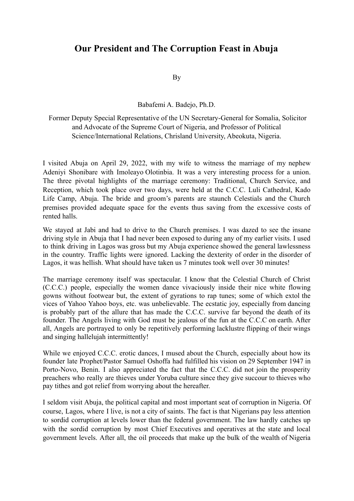## **Our President and The Corruption Feast in Abuja**

By

Babafemi A. Badejo, Ph.D.

## Former Deputy Special Representative of the UN Secretary-General for Somalia, Solicitor and Advocate of the Supreme Court of Nigeria, and Professor of Political Science/International Relations, Chrisland University, Abeokuta, Nigeria.

I visited Abuja on April 29, 2022, with my wife to witness the marriage of my nephew Adeniyi Shonibare with Imoleayo Olotinbia. It was a very interesting process for a union. The three pivotal highlights of the marriage ceremony: Traditional, Church Service, and Reception, which took place over two days, were held at the C.C.C. Luli Cathedral, Kado Life Camp, Abuja. The bride and groom's parents are staunch Celestials and the Church premises provided adequate space for the events thus saving from the excessive costs of rented halls.

We stayed at Jabi and had to drive to the Church premises. I was dazed to see the insane driving style in Abuja that I had never been exposed to during any of my earlier visits. I used to think driving in Lagos was gross but my Abuja experience showed the general lawlessness in the country. Traffic lights were ignored. Lacking the dexterity of order in the disorder of Lagos, it was hellish. What should have taken us 7 minutes took well over 30 minutes!

The marriage ceremony itself was spectacular. I know that the Celestial Church of Christ (C.C.C.) people, especially the women dance vivaciously inside their nice white flowing gowns without footwear but, the extent of gyrations to rap tunes; some of which extol the vices of Yahoo Yahoo boys, etc. was unbelievable. The ecstatic joy, especially from dancing is probably part of the allure that has made the C.C.C. survive far beyond the death of its founder. The Angels living with God must be jealous of the fun at the C.C.C on earth. After all, Angels are portrayed to only be repetitively performing lacklustre flipping of their wings and singing hallelujah intermittently!

While we enjoyed C.C.C. erotic dances, I mused about the Church, especially about how its founder late Prophet/Pastor Samuel Oshoffa had fulfilled his vision on 29 September 1947 in Porto-Novo, Benin. I also appreciated the fact that the C.C.C. did not join the prosperity preachers who really are thieves under Yoruba culture since they give succour to thieves who pay tithes and got relief from worrying about the hereafter.

I seldom visit Abuja, the political capital and most important seat of corruption in Nigeria. Of course, Lagos, where I live, is not a city of saints. The fact is that Nigerians pay less attention to sordid corruption at levels lower than the federal government. The law hardly catches up with the sordid corruption by most Chief Executives and operatives at the state and local government levels. After all, the oil proceeds that make up the bulk of the wealth of Nigeria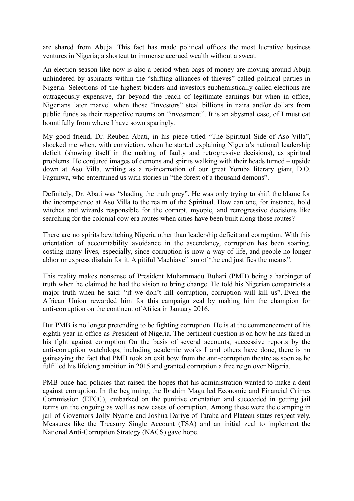are shared from Abuja. This fact has made political offices the most lucrative business ventures in Nigeria; a shortcut to immense accrued wealth without a sweat.

An election season like now is also a period when bags of money are moving around Abuja unhindered by aspirants within the "shifting alliances of thieves" called political parties in Nigeria. Selections of the highest bidders and investors euphemistically called elections are outrageously expensive, far beyond the reach of legitimate earnings but when in office, Nigerians later marvel when those "investors" steal billions in naira and/or dollars from public funds as their respective returns on "investment". It is an abysmal case, of I must eat bountifully from where I have sown sparingly.

My good friend, Dr. Reuben Abati, in his piece titled "The Spiritual Side of Aso Villa", shocked me when, with conviction, when he started explaining Nigeria's national leadership deficit (showing itself in the making of faulty and retrogressive decisions), as spiritual problems. He conjured images of demons and spirits walking with their heads turned – upside down at Aso Villa, writing as a re-incarnation of our great Yoruba literary giant, D.O. Fagunwa, who entertained us with stories in "the forest of a thousand demons".

Definitely, Dr. Abati was "shading the truth grey". He was only trying to shift the blame for the incompetence at Aso Villa to the realm of the Spiritual. How can one, for instance, hold witches and wizards responsible for the corrupt, myopic, and retrogressive decisions like searching for the colonial cow era routes when cities have been built along those routes?

There are no spirits bewitching Nigeria other than leadership deficit and corruption. With this orientation of accountability avoidance in the ascendancy, corruption has been soaring, costing many lives, especially, since corruption is now a way of life, and people no longer abhor or express disdain for it. A pitiful Machiavellism of 'the end justifies the means".

This reality makes nonsense of President Muhammadu Buhari (PMB) being a harbinger of truth when he claimed he had the vision to bring change. He told his Nigerian compatriots a major truth when he said: "if we don't kill corruption, corruption will kill us". Even the African Union rewarded him for this campaign zeal by making him the champion for anti-corruption on the continent of Africa in January 2016.

But PMB is no longer pretending to be fighting corruption. He is at the commencement of his eighth year in office as President of Nigeria. The pertinent question is on how he has fared in his fight against corruption. On the basis of several accounts, successive reports by the anti-corruption watchdogs, including academic works I and others have done, there is no gainsaying the fact that PMB took an exit bow from the anti-corruption theatre as soon as he fulfilled his lifelong ambition in 2015 and granted corruption a free reign over Nigeria.

PMB once had policies that raised the hopes that his administration wanted to make a dent against corruption. In the beginning, the Ibrahim Magu led Economic and Financial Crimes Commission (EFCC), embarked on the punitive orientation and succeeded in getting jail terms on the ongoing as well as new cases of corruption. Among these were the clamping in jail of Governors Jolly Nyame and Joshua Dariye of Taraba and Plateau states respectively. Measures like the Treasury Single Account (TSA) and an initial zeal to implement the National Anti-Corruption Strategy (NACS) gave hope.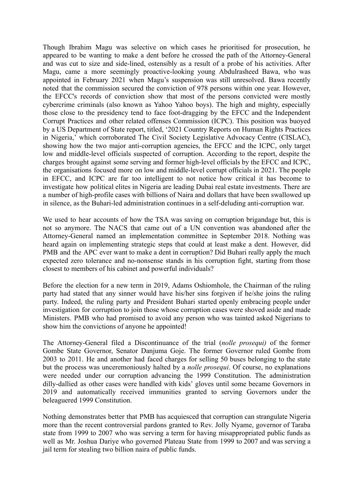Though Ibrahim Magu was selective on which cases he prioritised for prosecution, he appeared to be wanting to make a dent before he crossed the path of the Attorney-General and was cut to size and side-lined, ostensibly as a result of a probe of his activities. After Magu, came a more seemingly proactive-looking young Abdulrasheed Bawa, who was appointed in February 2021 when Magu's suspension was still unresolved. Bawa recently noted that the commission secured the conviction of 978 persons within one year. However, the EFCC's records of conviction show that most of the persons convicted were mostly cybercrime criminals (also known as Yahoo Yahoo boys). The high and mighty, especially those close to the presidency tend to face foot-dragging by the EFCC and the Independent Corrupt Practices and other related offenses Commission (ICPC). This position was buoyed by a US Department of State report, titled, '2021 Country Reports on Human Rights Practices in Nigeria,' which corroborated The Civil Society Legislative Advocacy Centre (CISLAC), showing how the two major anti-corruption agencies, the EFCC and the ICPC, only target low and middle-level officials suspected of corruption. According to the report, despite the charges brought against some serving and former high-level officials by the EFCC and ICPC, the organisations focused more on low and middle-level corrupt officials in 2021. The people in EFCC, and ICPC are far too intelligent to not notice how critical it has become to investigate how political elites in Nigeria are leading Dubai real estate investments. There are a number of high-profile cases with billions of Naira and dollars that have been swallowed up in silence, as the Buhari-led administration continues in a self-deluding anti-corruption war.

We used to hear accounts of how the TSA was saving on corruption brigandage but, this is not so anymore. The NACS that came out of a UN convention was abandoned after the Attorney-General named an implementation committee in September 2018. Nothing was heard again on implementing strategic steps that could at least make a dent. However, did PMB and the APC ever want to make a dent in corruption? Did Buhari really apply the much expected zero tolerance and no-nonsense stands in his corruption fight, starting from those closest to members of his cabinet and powerful individuals?

Before the election for a new term in 2019, Adams Oshiomhole, the Chairman of the ruling party had stated that any sinner would have his/her sins forgiven if he/she joins the ruling party. Indeed, the ruling party and President Buhari started openly embracing people under investigation for corruption to join those whose corruption cases were shoved aside and made Ministers. PMB who had promised to avoid any person who was tainted asked Nigerians to show him the convictions of anyone he appointed!

The Attorney-General filed a Discontinuance of the trial (*nolle prosequi)* of the former Gombe State Governor, Senator Danjuma Goje. The former Governor ruled Gombe from 2003 to 2011. He and another had faced charges for selling 50 buses belonging to the state but the process was unceremoniously halted by a *nolle prosequi*. Of course, no explanations were needed under our corruption advancing the 1999 Constitution. The administration dilly-dallied as other cases were handled with kids' gloves until some became Governors in 2019 and automatically received immunities granted to serving Governors under the beleaguered 1999 Constitution.

Nothing demonstrates better that PMB has acquiesced that corruption can strangulate Nigeria more than the recent controversial pardons granted to Rev. Jolly Nyame, governor of Taraba state from 1999 to 2007 who was serving a term for having misappropriated public funds as well as Mr. Joshua Dariye who governed Plateau State from 1999 to 2007 and was serving a jail term for stealing two billion naira of public funds.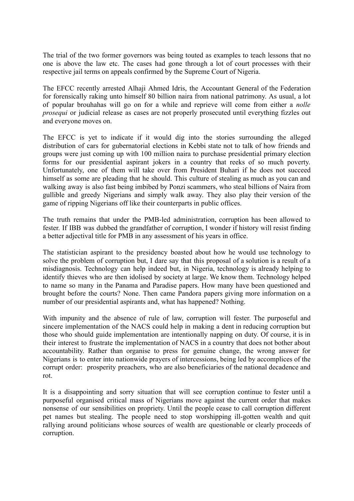The trial of the two former governors was being touted as examples to teach lessons that no one is above the law etc. The cases had gone through a lot of court processes with their respective jail terms on appeals confirmed by the Supreme Court of Nigeria.

The EFCC recently arrested Alhaji Ahmed Idris, the Accountant General of the Federation for forensically raking unto himself 80 billion naira from national patrimony. As usual, a lot of popular brouhahas will go on for a while and reprieve will come from either a *nolle prosequi* or judicial release as cases are not properly prosecuted until everything fizzles out and everyone moves on.

The EFCC is yet to indicate if it would dig into the stories surrounding the alleged distribution of cars for gubernatorial elections in Kebbi state not to talk of how friends and groups were just coming up with 100 million naira to purchase presidential primary election forms for our presidential aspirant jokers in a country that reeks of so much poverty. Unfortunately, one of them will take over from President Buhari if he does not succeed himself as some are pleading that he should. This culture of stealing as much as you can and walking away is also fast being imbibed by Ponzi scammers, who steal billions of Naira from gullible and greedy Nigerians and simply walk away. They also play their version of the game of ripping Nigerians off like their counterparts in public offices.

The truth remains that under the PMB-led administration, corruption has been allowed to fester. If IBB was dubbed the grandfather of corruption, I wonder if history will resist finding a better adjectival title for PMB in any assessment of his years in office.

The statistician aspirant to the presidency boasted about how he would use technology to solve the problem of corruption but, I dare say that this proposal of a solution is a result of a misdiagnosis. Technology can help indeed but, in Nigeria, technology is already helping to identify thieves who are then idolised by society at large. We know them. Technology helped to name so many in the Panama and Paradise papers. How many have been questioned and brought before the courts? None. Then came Pandora papers giving more information on a number of our presidential aspirants and, what has happened? Nothing.

With impunity and the absence of rule of law, corruption will fester. The purposeful and sincere implementation of the NACS could help in making a dent in reducing corruption but those who should guide implementation are intentionally napping on duty. Of course, it is in their interest to frustrate the implementation of NACS in a country that does not bother about accountability. Rather than organise to press for genuine change, the wrong answer for Nigerians is to enter into nationwide prayers of intercessions, being led by accomplices of the corrupt order: prosperity preachers, who are also beneficiaries of the national decadence and rot.

It is a disappointing and sorry situation that will see corruption continue to fester until a purposeful organised critical mass of Nigerians move against the current order that makes nonsense of our sensibilities on propriety. Until the people cease to call corruption different pet names but stealing. The people need to stop worshipping ill-gotten wealth and quit rallying around politicians whose sources of wealth are questionable or clearly proceeds of corruption.